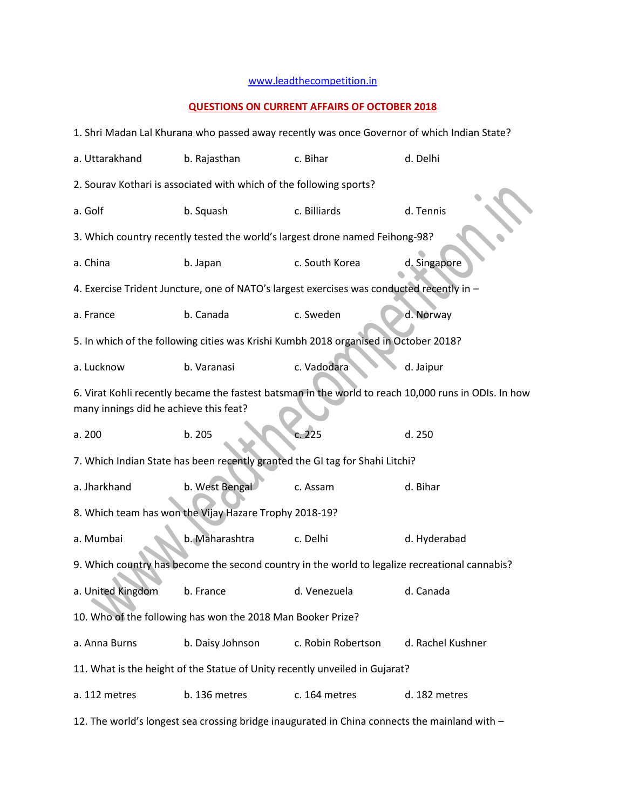## [www.leadthecompetition.in](http://www.leadthecompetition.in/)

## **QUESTIONS ON CURRENT AFFAIRS OF OCTOBER 2018**

| 1. Shri Madan Lal Khurana who passed away recently was once Governor of which Indian State?                                                    |                                                                                           |                      |                   |  |  |  |  |
|------------------------------------------------------------------------------------------------------------------------------------------------|-------------------------------------------------------------------------------------------|----------------------|-------------------|--|--|--|--|
| a. Uttarakhand                                                                                                                                 | b. Rajasthan                                                                              | c. Bihar<br>d. Delhi |                   |  |  |  |  |
| 2. Sourav Kothari is associated with which of the following sports?                                                                            |                                                                                           |                      |                   |  |  |  |  |
| a. Golf                                                                                                                                        | b. Squash                                                                                 | c. Billiards         | d. Tennis         |  |  |  |  |
| 3. Which country recently tested the world's largest drone named Feihong-98?                                                                   |                                                                                           |                      |                   |  |  |  |  |
| a. China                                                                                                                                       | b. Japan                                                                                  | c. South Korea       | d. Singapore      |  |  |  |  |
|                                                                                                                                                | 4. Exercise Trident Juncture, one of NATO's largest exercises was conducted recently in - |                      |                   |  |  |  |  |
| a. France                                                                                                                                      | b. Canada                                                                                 | c. Sweden            | d. Norway         |  |  |  |  |
|                                                                                                                                                | 5. In which of the following cities was Krishi Kumbh 2018 organised in October 2018?      |                      |                   |  |  |  |  |
| a. Lucknow                                                                                                                                     | b. Varanasi                                                                               | c. Vadodara          | d. Jaipur         |  |  |  |  |
| 6. Virat Kohli recently became the fastest batsman in the world to reach 10,000 runs in ODIs. In how<br>many innings did he achieve this feat? |                                                                                           |                      |                   |  |  |  |  |
| a. 200                                                                                                                                         | b. 205                                                                                    | c. 225               | d. 250            |  |  |  |  |
|                                                                                                                                                | 7. Which Indian State has been recently granted the GI tag for Shahi Litchi?              |                      |                   |  |  |  |  |
| a. Jharkhand                                                                                                                                   | b. West Bengal                                                                            | c. Assam             | d. Bihar          |  |  |  |  |
|                                                                                                                                                | 8. Which team has won the Vijay Hazare Trophy 2018-19?                                    |                      |                   |  |  |  |  |
| a. Mumbai                                                                                                                                      | b. Maharashtra                                                                            | c. Delhi             | d. Hyderabad      |  |  |  |  |
| 9. Which country has become the second country in the world to legalize recreational cannabis?                                                 |                                                                                           |                      |                   |  |  |  |  |
| a. United Kingdom                                                                                                                              | b. France                                                                                 | d. Venezuela         | d. Canada         |  |  |  |  |
| 10. Who of the following has won the 2018 Man Booker Prize?                                                                                    |                                                                                           |                      |                   |  |  |  |  |
| a. Anna Burns                                                                                                                                  | b. Daisy Johnson                                                                          | c. Robin Robertson   | d. Rachel Kushner |  |  |  |  |
| 11. What is the height of the Statue of Unity recently unveiled in Gujarat?                                                                    |                                                                                           |                      |                   |  |  |  |  |
| a. 112 metres                                                                                                                                  | b. 136 metres                                                                             | c. 164 metres        | d. 182 metres     |  |  |  |  |
| 12. The world's longest sea crossing bridge inaugurated in China connects the mainland with -                                                  |                                                                                           |                      |                   |  |  |  |  |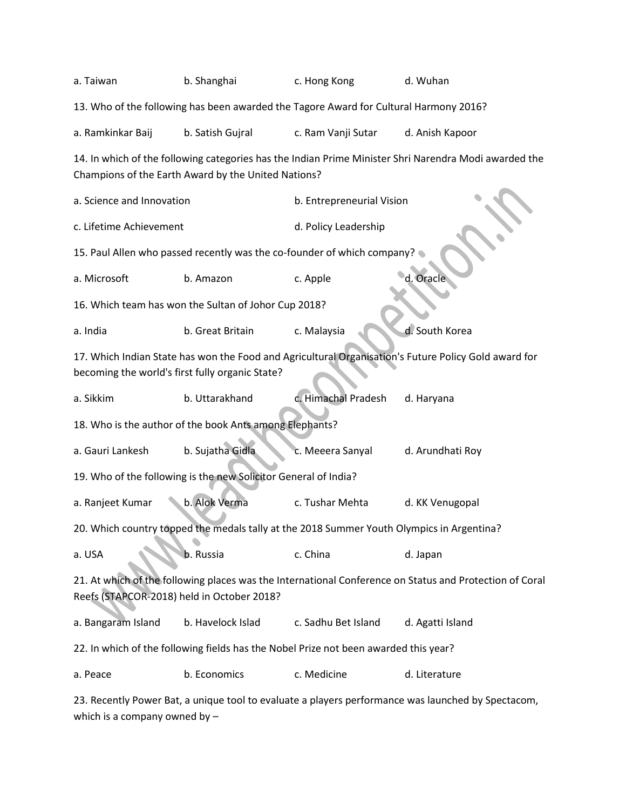| a. Taiwan                                                                                                                                                    | b. Shanghai                                                     | c. Hong Kong                                                                              | d. Wuhan                                                                                             |  |  |  |  |
|--------------------------------------------------------------------------------------------------------------------------------------------------------------|-----------------------------------------------------------------|-------------------------------------------------------------------------------------------|------------------------------------------------------------------------------------------------------|--|--|--|--|
|                                                                                                                                                              |                                                                 | 13. Who of the following has been awarded the Tagore Award for Cultural Harmony 2016?     |                                                                                                      |  |  |  |  |
| a. Ramkinkar Baij                                                                                                                                            | b. Satish Gujral                                                | c. Ram Vanji Sutar                                                                        | d. Anish Kapoor                                                                                      |  |  |  |  |
| 14. In which of the following categories has the Indian Prime Minister Shri Narendra Modi awarded the<br>Champions of the Earth Award by the United Nations? |                                                                 |                                                                                           |                                                                                                      |  |  |  |  |
| a. Science and Innovation                                                                                                                                    |                                                                 | b. Entrepreneurial Vision                                                                 |                                                                                                      |  |  |  |  |
| c. Lifetime Achievement                                                                                                                                      |                                                                 | d. Policy Leadership                                                                      |                                                                                                      |  |  |  |  |
|                                                                                                                                                              |                                                                 | 15. Paul Allen who passed recently was the co-founder of which company?                   |                                                                                                      |  |  |  |  |
| a. Microsoft                                                                                                                                                 | b. Amazon                                                       | c. Apple                                                                                  | d. Oracle                                                                                            |  |  |  |  |
|                                                                                                                                                              | 16. Which team has won the Sultan of Johor Cup 2018?            |                                                                                           |                                                                                                      |  |  |  |  |
| a. India                                                                                                                                                     | b. Great Britain                                                | c. Malaysia                                                                               | d. South Korea                                                                                       |  |  |  |  |
| becoming the world's first fully organic State?                                                                                                              |                                                                 |                                                                                           | 17. Which Indian State has won the Food and Agricultural Organisation's Future Policy Gold award for |  |  |  |  |
| a. Sikkim                                                                                                                                                    | b. Uttarakhand                                                  | c. Himachal Pradesh                                                                       | d. Haryana                                                                                           |  |  |  |  |
|                                                                                                                                                              | 18. Who is the author of the book Ants among Elephants?         |                                                                                           |                                                                                                      |  |  |  |  |
| a. Gauri Lankesh                                                                                                                                             | b. Sujatha Gidla                                                | c. Meeera Sanyal                                                                          | d. Arundhati Roy                                                                                     |  |  |  |  |
|                                                                                                                                                              | 19. Who of the following is the new Solicitor General of India? |                                                                                           |                                                                                                      |  |  |  |  |
| a. Ranjeet Kumar                                                                                                                                             | b. Alok Verma                                                   | c. Tushar Mehta                                                                           | d. KK Venugopal                                                                                      |  |  |  |  |
|                                                                                                                                                              |                                                                 | 20. Which country topped the medals tally at the 2018 Summer Youth Olympics in Argentina? |                                                                                                      |  |  |  |  |
| a. USA                                                                                                                                                       | <b>b</b> . Russia                                               | c. China                                                                                  | d. Japan                                                                                             |  |  |  |  |
| 21. At which of the following places was the International Conference on Status and Protection of Coral<br>Reefs (STAPCOR-2018) held in October 2018?        |                                                                 |                                                                                           |                                                                                                      |  |  |  |  |
| a. Bangaram Island                                                                                                                                           | b. Havelock Islad                                               | c. Sadhu Bet Island                                                                       | d. Agatti Island                                                                                     |  |  |  |  |
| 22. In which of the following fields has the Nobel Prize not been awarded this year?                                                                         |                                                                 |                                                                                           |                                                                                                      |  |  |  |  |
| a. Peace                                                                                                                                                     | b. Economics                                                    | c. Medicine                                                                               | d. Literature                                                                                        |  |  |  |  |
|                                                                                                                                                              |                                                                 |                                                                                           | contly Rower Rating unique tool to ovaluate a players performance was launched by Spectacem          |  |  |  |  |

23. Recently Power Bat, a unique tool to evaluate a players performance was launched by Spectacom, which is a company owned by –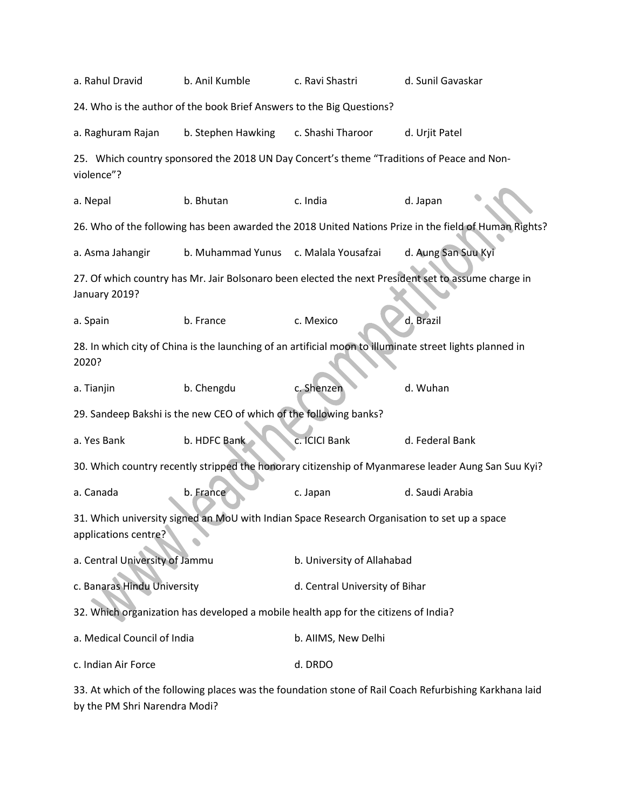| a. Rahul Dravid                                                                                                      | b. Anil Kumble                                                     | c. Ravi Shastri                | d. Sunil Gavaskar                                                                                        |  |  |  |  |
|----------------------------------------------------------------------------------------------------------------------|--------------------------------------------------------------------|--------------------------------|----------------------------------------------------------------------------------------------------------|--|--|--|--|
| 24. Who is the author of the book Brief Answers to the Big Questions?                                                |                                                                    |                                |                                                                                                          |  |  |  |  |
| a. Raghuram Rajan                                                                                                    | b. Stephen Hawking                                                 | c. Shashi Tharoor              | d. Urjit Patel                                                                                           |  |  |  |  |
| 25. Which country sponsored the 2018 UN Day Concert's theme "Traditions of Peace and Non-<br>violence"?              |                                                                    |                                |                                                                                                          |  |  |  |  |
| a. Nepal                                                                                                             | b. Bhutan                                                          | c. India                       | d. Japan                                                                                                 |  |  |  |  |
|                                                                                                                      |                                                                    |                                | 26. Who of the following has been awarded the 2018 United Nations Prize in the field of Human Rights?    |  |  |  |  |
| a. Asma Jahangir                                                                                                     | b. Muhammad Yunus                                                  | c. Malala Yousafzai            | d. Aung San Suu Kyi                                                                                      |  |  |  |  |
| January 2019?                                                                                                        |                                                                    |                                | 27. Of which country has Mr. Jair Bolsonaro been elected the next President set to assume charge in      |  |  |  |  |
| a. Spain                                                                                                             | b. France                                                          | c. Mexico                      | d. Brazil                                                                                                |  |  |  |  |
| 2020?                                                                                                                |                                                                    |                                | 28. In which city of China is the launching of an artificial moon to illuminate street lights planned in |  |  |  |  |
| a. Tianjin                                                                                                           | b. Chengdu                                                         | c. Shenzen                     | d. Wuhan                                                                                                 |  |  |  |  |
|                                                                                                                      | 29. Sandeep Bakshi is the new CEO of which of the following banks? |                                |                                                                                                          |  |  |  |  |
| a. Yes Bank                                                                                                          | b. HDFC Bank                                                       | c. ICICI Bank                  | d. Federal Bank                                                                                          |  |  |  |  |
|                                                                                                                      |                                                                    |                                | 30. Which country recently stripped the honorary citizenship of Myanmarese leader Aung San Suu Kyi?      |  |  |  |  |
| a. Canada                                                                                                            | b. France                                                          | c. Japan                       | d. Saudi Arabia                                                                                          |  |  |  |  |
| 31. Which university signed an MoU with Indian Space Research Organisation to set up a space<br>applications centre? |                                                                    |                                |                                                                                                          |  |  |  |  |
| a. Central University of Jammu                                                                                       |                                                                    | b. University of Allahabad     |                                                                                                          |  |  |  |  |
| c. Banaras Hindu University                                                                                          |                                                                    | d. Central University of Bihar |                                                                                                          |  |  |  |  |
| 32. Which organization has developed a mobile health app for the citizens of India?                                  |                                                                    |                                |                                                                                                          |  |  |  |  |
| a. Medical Council of India                                                                                          |                                                                    | b. AIIMS, New Delhi            |                                                                                                          |  |  |  |  |
| c. Indian Air Force                                                                                                  |                                                                    | d. DRDO                        |                                                                                                          |  |  |  |  |
|                                                                                                                      |                                                                    |                                |                                                                                                          |  |  |  |  |

33. At which of the following places was the foundation stone of Rail Coach Refurbishing Karkhana laid by the PM Shri Narendra Modi?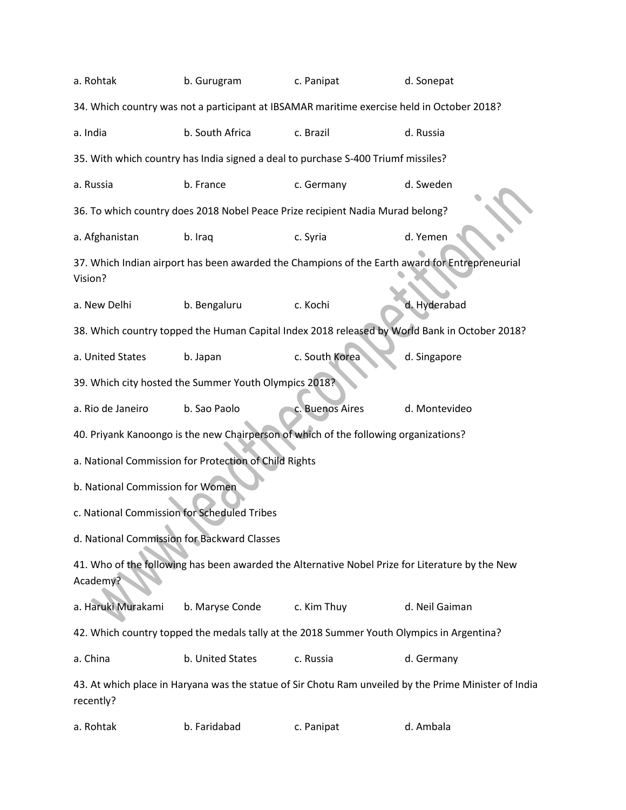| a. Rohtak                                                                                                   | b. Gurugram                                                                                                                                                                                                                                                                     | c. Panipat      | d. Sonepat                                                                                     |  |  |  |  |  |
|-------------------------------------------------------------------------------------------------------------|---------------------------------------------------------------------------------------------------------------------------------------------------------------------------------------------------------------------------------------------------------------------------------|-----------------|------------------------------------------------------------------------------------------------|--|--|--|--|--|
| 34. Which country was not a participant at IBSAMAR maritime exercise held in October 2018?                  |                                                                                                                                                                                                                                                                                 |                 |                                                                                                |  |  |  |  |  |
| a. India                                                                                                    | b. South Africa                                                                                                                                                                                                                                                                 | c. Brazil       | d. Russia                                                                                      |  |  |  |  |  |
|                                                                                                             | 35. With which country has India signed a deal to purchase S-400 Triumf missiles?                                                                                                                                                                                               |                 |                                                                                                |  |  |  |  |  |
| a. Russia                                                                                                   | b. France                                                                                                                                                                                                                                                                       | c. Germany      | d. Sweden                                                                                      |  |  |  |  |  |
|                                                                                                             | 36. To which country does 2018 Nobel Peace Prize recipient Nadia Murad belong?                                                                                                                                                                                                  |                 |                                                                                                |  |  |  |  |  |
| a. Afghanistan                                                                                              | b. Iraq                                                                                                                                                                                                                                                                         | c. Syria        | d. Yemen                                                                                       |  |  |  |  |  |
| Vision?                                                                                                     |                                                                                                                                                                                                                                                                                 |                 | 37. Which Indian airport has been awarded the Champions of the Earth award for Entrepreneurial |  |  |  |  |  |
| a. New Delhi                                                                                                | b. Bengaluru                                                                                                                                                                                                                                                                    | c. Kochi        | d. Hyderabad                                                                                   |  |  |  |  |  |
|                                                                                                             |                                                                                                                                                                                                                                                                                 |                 | 38. Which country topped the Human Capital Index 2018 released by World Bank in October 2018?  |  |  |  |  |  |
| a. United States                                                                                            | b. Japan                                                                                                                                                                                                                                                                        | c. South Korea  | d. Singapore                                                                                   |  |  |  |  |  |
|                                                                                                             | 39. Which city hosted the Summer Youth Olympics 2018?                                                                                                                                                                                                                           |                 |                                                                                                |  |  |  |  |  |
| a. Rio de Janeiro                                                                                           | b. Sao Paolo                                                                                                                                                                                                                                                                    | c. Buenos Aires | d. Montevideo                                                                                  |  |  |  |  |  |
|                                                                                                             |                                                                                                                                                                                                                                                                                 |                 |                                                                                                |  |  |  |  |  |
|                                                                                                             |                                                                                                                                                                                                                                                                                 |                 |                                                                                                |  |  |  |  |  |
|                                                                                                             |                                                                                                                                                                                                                                                                                 |                 |                                                                                                |  |  |  |  |  |
|                                                                                                             |                                                                                                                                                                                                                                                                                 |                 |                                                                                                |  |  |  |  |  |
|                                                                                                             | 40. Priyank Kanoongo is the new Chairperson of which of the following organizations?<br>a. National Commission for Protection of Child Rights<br>b. National Commission for Women<br>c. National Commission for Scheduled Tribes<br>d. National Commission for Backward Classes |                 |                                                                                                |  |  |  |  |  |
| 41. Who of the following has been awarded the Alternative Nobel Prize for Literature by the New<br>Academy? |                                                                                                                                                                                                                                                                                 |                 |                                                                                                |  |  |  |  |  |
| a. Haruki Murakami                                                                                          | b. Maryse Conde                                                                                                                                                                                                                                                                 | c. Kim Thuy     | d. Neil Gaiman                                                                                 |  |  |  |  |  |
| 42. Which country topped the medals tally at the 2018 Summer Youth Olympics in Argentina?                   |                                                                                                                                                                                                                                                                                 |                 |                                                                                                |  |  |  |  |  |
| a. China                                                                                                    | b. United States                                                                                                                                                                                                                                                                | c. Russia       | d. Germany                                                                                     |  |  |  |  |  |
| recently?                                                                                                   | 43. At which place in Haryana was the statue of Sir Chotu Ram unveiled by the Prime Minister of India                                                                                                                                                                           |                 |                                                                                                |  |  |  |  |  |
| a. Rohtak                                                                                                   | b. Faridabad                                                                                                                                                                                                                                                                    | c. Panipat      | d. Ambala                                                                                      |  |  |  |  |  |